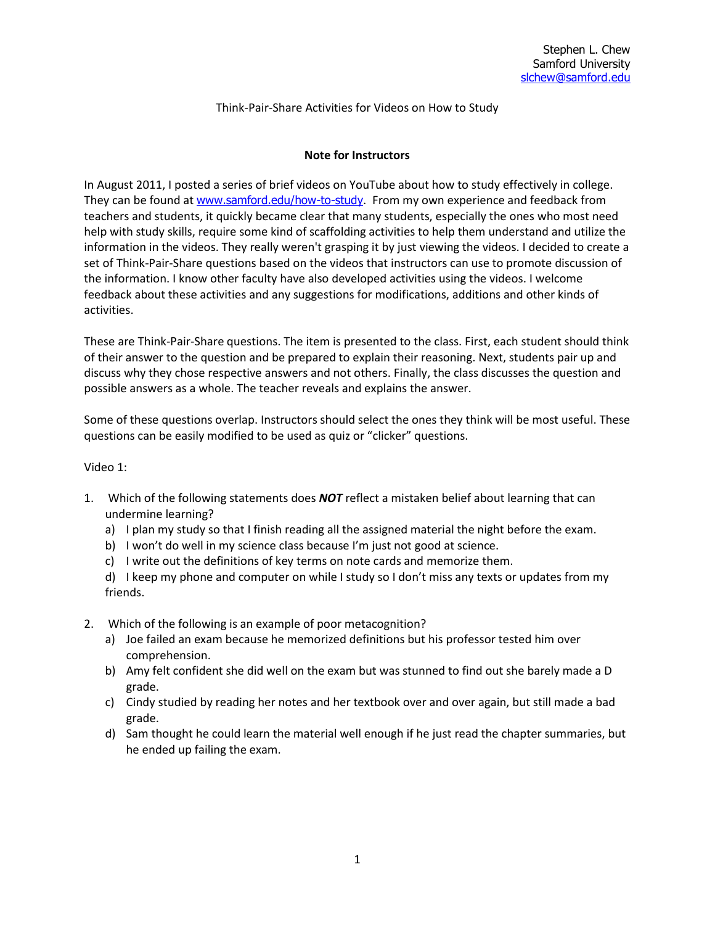# Think-Pair-Share Activities for Videos on How to Study

#### **Note for Instructors**

In August 2011, I posted a series of brief videos on YouTube about how to study effectively in college. They can be found at [www.samford.edu/how-to-study](http://www.samford.edu/how-to-study). From my own experience and feedback from teachers and students, it quickly became clear that many students, especially the ones who most need help with study skills, require some kind of scaffolding activities to help them understand and utilize the information in the videos. They really weren't grasping it by just viewing the videos. I decided to create a set of Think-Pair-Share questions based on the videos that instructors can use to promote discussion of the information. I know other faculty have also developed activities using the videos. I welcome feedback about these activities and any suggestions for modifications, additions and other kinds of activities.

These are Think-Pair-Share questions. The item is presented to the class. First, each student should think of their answer to the question and be prepared to explain their reasoning. Next, students pair up and discuss why they chose respective answers and not others. Finally, the class discusses the question and possible answers as a whole. The teacher reveals and explains the answer.

Some of these questions overlap. Instructors should select the ones they think will be most useful. These questions can be easily modified to be used as quiz or "clicker" questions.

#### Video 1:

- 1. Which of the following statements does *NOT* reflect a mistaken belief about learning that can undermine learning?
	- a) I plan my study so that I finish reading all the assigned material the night before the exam.
	- b) I won't do well in my science class because I'm just not good at science.
	- c) I write out the definitions of key terms on note cards and memorize them.
	- d) I keep my phone and computer on while I study so I don't miss any texts or updates from my friends.
- 2. Which of the following is an example of poor metacognition?
	- a) Joe failed an exam because he memorized definitions but his professor tested him over comprehension.
	- b) Amy felt confident she did well on the exam but was stunned to find out she barely made a D grade.
	- c) Cindy studied by reading her notes and her textbook over and over again, but still made a bad grade.
	- d) Sam thought he could learn the material well enough if he just read the chapter summaries, but he ended up failing the exam.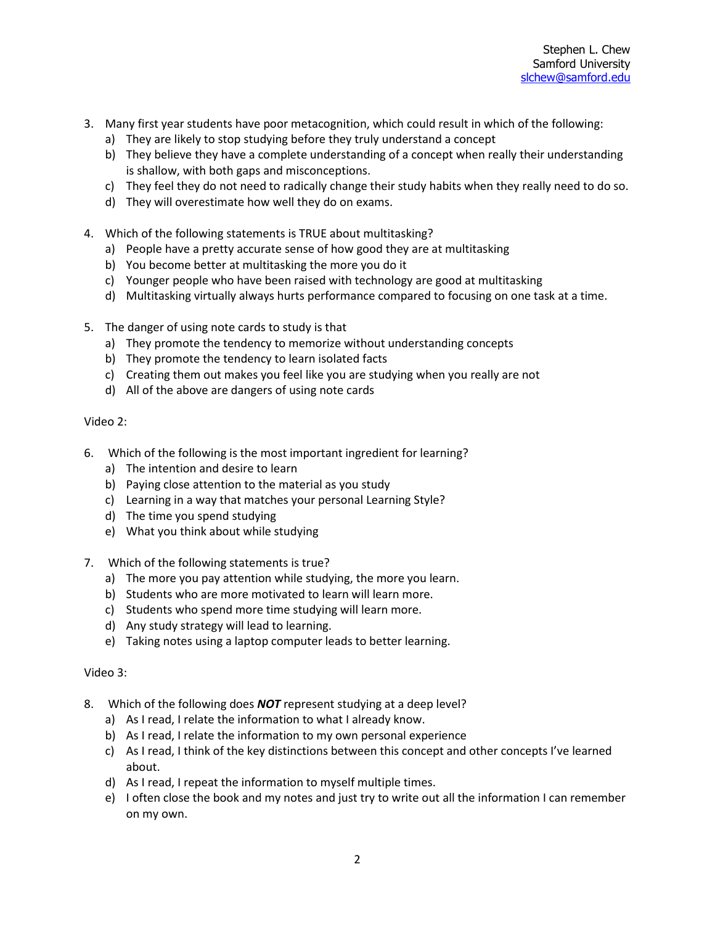- 3. Many first year students have poor metacognition, which could result in which of the following:
	- a) They are likely to stop studying before they truly understand a concept
	- b) They believe they have a complete understanding of a concept when really their understanding is shallow, with both gaps and misconceptions.
	- c) They feel they do not need to radically change their study habits when they really need to do so.
	- d) They will overestimate how well they do on exams.
- 4. Which of the following statements is TRUE about multitasking?
	- a) People have a pretty accurate sense of how good they are at multitasking
	- b) You become better at multitasking the more you do it
	- c) Younger people who have been raised with technology are good at multitasking
	- d) Multitasking virtually always hurts performance compared to focusing on one task at a time.
- 5. The danger of using note cards to study is that
	- a) They promote the tendency to memorize without understanding concepts
	- b) They promote the tendency to learn isolated facts
	- c) Creating them out makes you feel like you are studying when you really are not
	- d) All of the above are dangers of using note cards

## Video 2:

- 6. Which of the following is the most important ingredient for learning?
	- a) The intention and desire to learn
	- b) Paying close attention to the material as you study
	- c) Learning in a way that matches your personal Learning Style?
	- d) The time you spend studying
	- e) What you think about while studying
- 7. Which of the following statements is true?
	- a) The more you pay attention while studying, the more you learn.
	- b) Students who are more motivated to learn will learn more.
	- c) Students who spend more time studying will learn more.
	- d) Any study strategy will lead to learning.
	- e) Taking notes using a laptop computer leads to better learning.

## Video 3:

- 8. Which of the following does *NOT* represent studying at a deep level?
	- a) As I read, I relate the information to what I already know.
	- b) As I read, I relate the information to my own personal experience
	- c) As I read, I think of the key distinctions between this concept and other concepts I've learned about.
	- d) As I read, I repeat the information to myself multiple times.
	- e) I often close the book and my notes and just try to write out all the information I can remember on my own.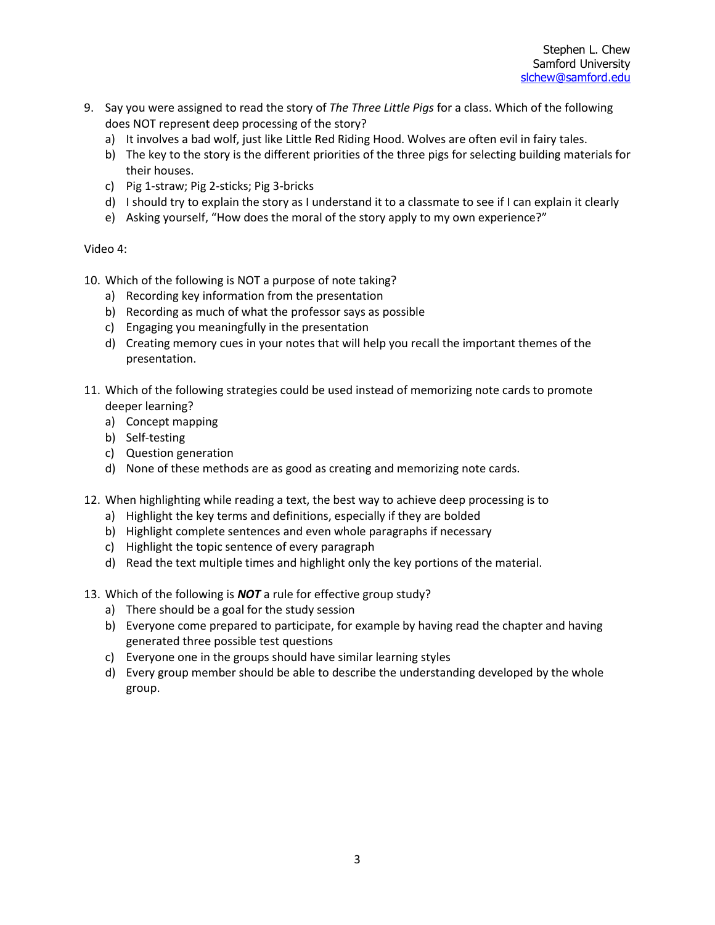- 9. Say you were assigned to read the story of *The Three Little Pigs* for a class. Which of the following does NOT represent deep processing of the story?
	- a) It involves a bad wolf, just like Little Red Riding Hood. Wolves are often evil in fairy tales.
	- b) The key to the story is the different priorities of the three pigs for selecting building materials for their houses.
	- c) Pig 1-straw; Pig 2-sticks; Pig 3-bricks
	- d) I should try to explain the story as I understand it to a classmate to see if I can explain it clearly
	- e) Asking yourself, "How does the moral of the story apply to my own experience?"

# Video 4:

- 10. Which of the following is NOT a purpose of note taking?
	- a) Recording key information from the presentation
	- b) Recording as much of what the professor says as possible
	- c) Engaging you meaningfully in the presentation
	- d) Creating memory cues in your notes that will help you recall the important themes of the presentation.
- 11. Which of the following strategies could be used instead of memorizing note cards to promote deeper learning?
	- a) Concept mapping
	- b) Self-testing
	- c) Question generation
	- d) None of these methods are as good as creating and memorizing note cards.
- 12. When highlighting while reading a text, the best way to achieve deep processing is to
	- a) Highlight the key terms and definitions, especially if they are bolded
	- b) Highlight complete sentences and even whole paragraphs if necessary
	- c) Highlight the topic sentence of every paragraph
	- d) Read the text multiple times and highlight only the key portions of the material.
- 13. Which of the following is *NOT* a rule for effective group study?
	- a) There should be a goal for the study session
	- b) Everyone come prepared to participate, for example by having read the chapter and having generated three possible test questions
	- c) Everyone one in the groups should have similar learning styles
	- d) Every group member should be able to describe the understanding developed by the whole group.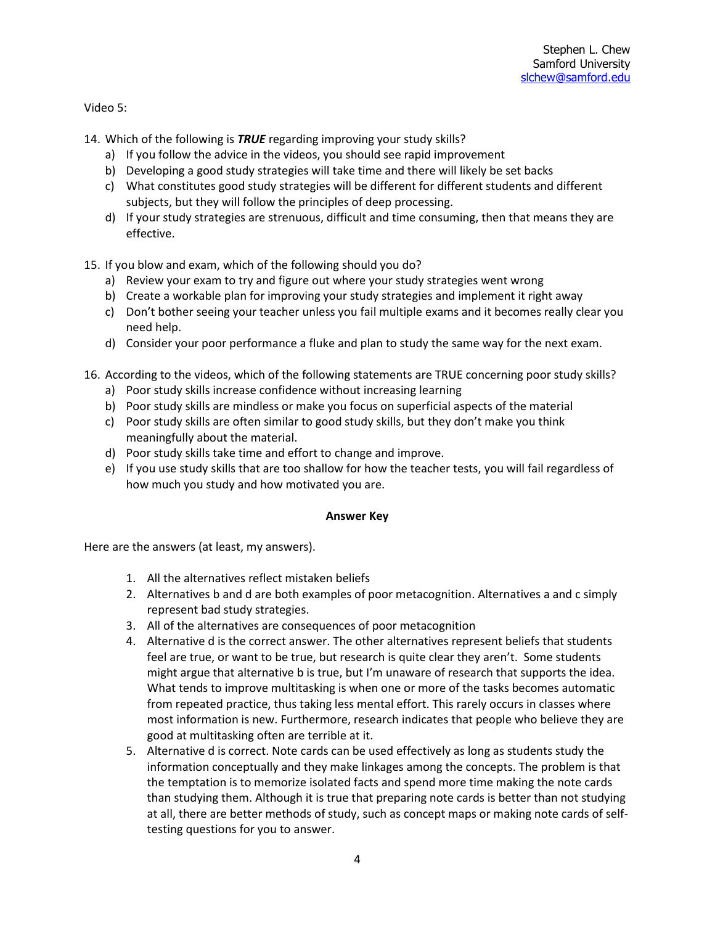Video 5:

- 14. Which of the following is *TRUE* regarding improving your study skills?
	- a) If you follow the advice in the videos, you should see rapid improvement
	- b) Developing a good study strategies will take time and there will likely be set backs
	- c) What constitutes good study strategies will be different for different students and different subjects, but they will follow the principles of deep processing.
	- d) If your study strategies are strenuous, difficult and time consuming, then that means they are effective.
- 15. If you blow and exam, which of the following should you do?
	- a) Review your exam to try and figure out where your study strategies went wrong
	- b) Create a workable plan for improving your study strategies and implement it right away
	- c) Don't bother seeing your teacher unless you fail multiple exams and it becomes really clear you need help.
	- d) Consider your poor performance a fluke and plan to study the same way for the next exam.
- 16. According to the videos, which of the following statements are TRUE concerning poor study skills?
	- a) Poor study skills increase confidence without increasing learning
	- b) Poor study skills are mindless or make you focus on superficial aspects of the material
	- c) Poor study skills are often similar to good study skills, but they don't make you think meaningfully about the material.
	- d) Poor study skills take time and effort to change and improve.
	- e) If you use study skills that are too shallow for how the teacher tests, you will fail regardless of how much you study and how motivated you are.

## **Answer Key**

Here are the answers (at least, my answers).

- 1. All the alternatives reflect mistaken beliefs
- 2. Alternatives b and d are both examples of poor metacognition. Alternatives a and c simply represent bad study strategies.
- 3. All of the alternatives are consequences of poor metacognition
- 4. Alternative d is the correct answer. The other alternatives represent beliefs that students feel are true, or want to be true, but research is quite clear they aren't. Some students might argue that alternative b is true, but I'm unaware of research that supports the idea. What tends to improve multitasking is when one or more of the tasks becomes automatic from repeated practice, thus taking less mental effort. This rarely occurs in classes where most information is new. Furthermore, research indicates that people who believe they are good at multitasking often are terrible at it.
- 5. Alternative d is correct. Note cards can be used effectively as long as students study the information conceptually and they make linkages among the concepts. The problem is that the temptation is to memorize isolated facts and spend more time making the note cards than studying them. Although it is true that preparing note cards is better than not studying at all, there are better methods of study, such as concept maps or making note cards of selftesting questions for you to answer.